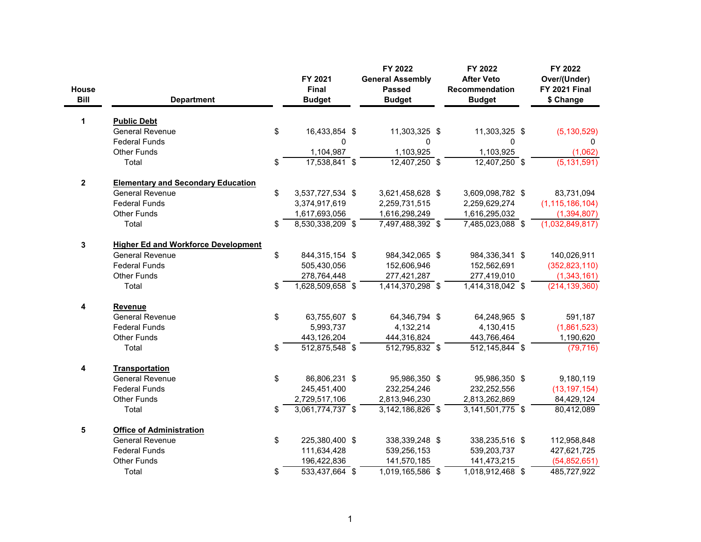| House<br><b>Bill</b> | <b>Department</b>                          | FY 2021<br>Final<br><b>Budget</b> | FY 2022<br><b>General Assembly</b><br><b>Passed</b><br><b>Budget</b> | FY 2022<br><b>After Veto</b><br><b>Recommendation</b><br><b>Budget</b> | FY 2022<br>Over/(Under)<br><b>FY 2021 Final</b><br>\$ Change |
|----------------------|--------------------------------------------|-----------------------------------|----------------------------------------------------------------------|------------------------------------------------------------------------|--------------------------------------------------------------|
| 1                    | <b>Public Debt</b>                         |                                   |                                                                      |                                                                        |                                                              |
|                      | <b>General Revenue</b>                     | \$<br>16,433,854 \$               | 11,303,325 \$                                                        | 11,303,325 \$                                                          | (5, 130, 529)                                                |
|                      | <b>Federal Funds</b>                       | 0                                 | $\mathbf 0$                                                          | $\mathbf 0$                                                            | 0                                                            |
|                      | <b>Other Funds</b>                         | 1,104,987                         | 1,103,925                                                            | 1,103,925                                                              | (1,062)                                                      |
|                      | Total                                      | \$<br>$17,538,841$ \$             | $12,407,250$ \$                                                      | $12,407,250$ \$                                                        | $\overline{(5,131,591)}$                                     |
| $\overline{2}$       | <b>Elementary and Secondary Education</b>  |                                   |                                                                      |                                                                        |                                                              |
|                      | <b>General Revenue</b>                     | \$<br>3,537,727,534 \$            | 3,621,458,628 \$                                                     | 3,609,098,782 \$                                                       | 83,731,094                                                   |
|                      | <b>Federal Funds</b>                       | 3,374,917,619                     | 2,259,731,515                                                        | 2,259,629,274                                                          | (1, 115, 186, 104)                                           |
|                      | <b>Other Funds</b>                         | 1,617,693,056                     | 1,616,298,249                                                        | 1,616,295,032                                                          | (1, 394, 807)                                                |
|                      | Total                                      | \$<br>$8,530,338,209$ \$          | 7,497,488,392 \$                                                     | 7,485,023,088 \$                                                       | (1,032,849,817)                                              |
| 3                    | <b>Higher Ed and Workforce Development</b> |                                   |                                                                      |                                                                        |                                                              |
|                      | <b>General Revenue</b>                     | \$<br>844,315,154 \$              | 984,342,065 \$                                                       | 984,336,341 \$                                                         | 140,026,911                                                  |
|                      | <b>Federal Funds</b>                       | 505,430,056                       | 152,606,946                                                          | 152,562,691                                                            | (352, 823, 110)                                              |
|                      | <b>Other Funds</b>                         | 278,764,448                       | 277,421,287                                                          | 277,419,010                                                            | (1,343,161)                                                  |
|                      | Total                                      | \$<br>1,628,509,658 \$            | 1,414,370,298 \$                                                     | 1,414,318,042 \$                                                       | (214, 139, 360)                                              |
| 4                    | Revenue                                    |                                   |                                                                      |                                                                        |                                                              |
|                      | <b>General Revenue</b>                     | \$<br>63,755,607 \$               | 64,346,794 \$                                                        | 64,248,965 \$                                                          | 591,187                                                      |
|                      | <b>Federal Funds</b>                       | 5,993,737                         | 4,132,214                                                            | 4,130,415                                                              | (1,861,523)                                                  |
|                      | <b>Other Funds</b>                         | 443,126,204                       | 444,316,824                                                          | 443,766,464                                                            | 1,190,620                                                    |
|                      | Total                                      | \$<br>$\overline{512,875,548}$ \$ | $\overline{512,795,832}$ \$                                          | $\overline{512, 145, 844}$ \$                                          | (79, 716)                                                    |
| 4                    | Transportation                             |                                   |                                                                      |                                                                        |                                                              |
|                      | <b>General Revenue</b>                     | \$<br>86,806,231 \$               | 95,986,350 \$                                                        | 95,986,350 \$                                                          | 9,180,119                                                    |
|                      | <b>Federal Funds</b>                       | 245,451,400                       | 232,254,246                                                          | 232,252,556                                                            | (13, 197, 154)                                               |
|                      | <b>Other Funds</b>                         | 2,729,517,106                     | 2,813,946,230                                                        | 2,813,262,869                                                          | 84,429,124                                                   |
|                      | Total                                      | \$<br>$3,061,774,737$ \$          | $3,142,186,826$ \$                                                   | $3,141,501,775$ \$                                                     | 80,412,089                                                   |
| 5                    | <b>Office of Administration</b>            |                                   |                                                                      |                                                                        |                                                              |
|                      | <b>General Revenue</b>                     | \$<br>225,380,400 \$              | 338,339,248 \$                                                       | 338,235,516 \$                                                         | 112,958,848                                                  |
|                      | <b>Federal Funds</b>                       | 111,634,428                       | 539,256,153                                                          | 539,203,737                                                            | 427,621,725                                                  |
|                      | <b>Other Funds</b>                         | 196,422,836                       | 141,570,185                                                          | 141,473,215                                                            | (54, 852, 651)                                               |
|                      | Total                                      | \$<br>533,437,664 \$              | 1,019,165,586 \$                                                     | 1,018,912,468 \$                                                       | 485,727,922                                                  |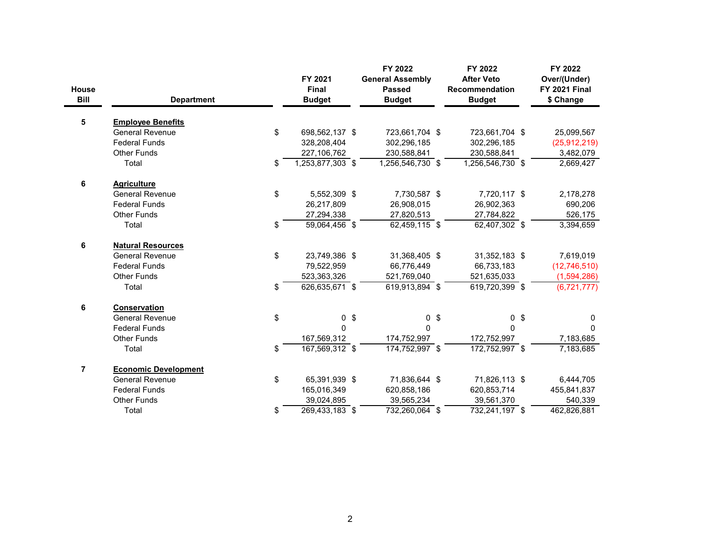| <b>House</b><br><b>Bill</b> | <b>Department</b>           | FY 2021<br>Final<br><b>Budget</b> | FY 2022<br><b>General Assembly</b><br><b>Passed</b><br><b>Budget</b> |               | FY 2022<br><b>After Veto</b><br><b>Recommendation</b><br><b>Budget</b> | FY 2022<br>Over/(Under)<br><b>FY 2021 Final</b><br>\$ Change |
|-----------------------------|-----------------------------|-----------------------------------|----------------------------------------------------------------------|---------------|------------------------------------------------------------------------|--------------------------------------------------------------|
| 5                           | <b>Employee Benefits</b>    |                                   |                                                                      |               |                                                                        |                                                              |
|                             | <b>General Revenue</b>      | \$<br>698,562,137 \$              | 723,661,704 \$                                                       |               | 723,661,704 \$                                                         | 25,099,567                                                   |
|                             | <b>Federal Funds</b>        | 328,208,404                       | 302,296,185                                                          |               | 302,296,185                                                            | (25, 912, 219)                                               |
|                             | <b>Other Funds</b>          | 227,106,762                       | 230,588,841                                                          |               | 230,588,841                                                            | 3,482,079                                                    |
|                             | Total                       | \$<br>1,253,877,303 \$            | 1,256,546,730 \$                                                     |               | 1,256,546,730 \$                                                       | 2,669,427                                                    |
| 6                           | <b>Agriculture</b>          |                                   |                                                                      |               |                                                                        |                                                              |
|                             | <b>General Revenue</b>      | \$<br>5,552,309 \$                | 7,730,587 \$                                                         |               | 7,720,117 \$                                                           | 2,178,278                                                    |
|                             | <b>Federal Funds</b>        | 26,217,809                        | 26,908,015                                                           |               | 26,902,363                                                             | 690,206                                                      |
|                             | <b>Other Funds</b>          | 27,294,338                        | 27,820,513                                                           |               | 27,784,822                                                             | 526,175                                                      |
|                             | Total                       | \$<br>59,064,456 \$               | $62,459,115$ \$                                                      |               | 62,407,302 \$                                                          | 3,394,659                                                    |
| 6                           | <b>Natural Resources</b>    |                                   |                                                                      |               |                                                                        |                                                              |
|                             | <b>General Revenue</b>      | \$<br>23,749,386 \$               | 31,368,405 \$                                                        |               | 31,352,183 \$                                                          | 7,619,019                                                    |
|                             | <b>Federal Funds</b>        | 79,522,959                        | 66,776,449                                                           |               | 66,733,183                                                             | (12, 746, 510)                                               |
|                             | <b>Other Funds</b>          | 523,363,326                       | 521,769,040                                                          |               | 521,635,033                                                            | (1,594,286)                                                  |
|                             | Total                       | \$<br>$626,635,671$ \$            | 619,913,894 \$                                                       |               | 619,720,399 \$                                                         | (6,721,777)                                                  |
| 6                           | <b>Conservation</b>         |                                   |                                                                      |               |                                                                        |                                                              |
|                             | <b>General Revenue</b>      | \$<br>0 <sup>5</sup>              | $\mathbf 0$                                                          | $\sqrt[6]{3}$ | 0 <sup>6</sup>                                                         | 0                                                            |
|                             | <b>Federal Funds</b>        | $\Omega$                          | $\Omega$                                                             |               | $\mathbf{0}$                                                           | 0                                                            |
|                             | <b>Other Funds</b>          | 167,569,312                       | 174,752,997                                                          |               | 172,752,997                                                            | 7,183,685                                                    |
|                             | Total                       | \$<br>167,569,312 \$              | 174,752,997 \$                                                       |               | 172,752,997 \$                                                         | 7,183,685                                                    |
| $\overline{7}$              | <b>Economic Development</b> |                                   |                                                                      |               |                                                                        |                                                              |
|                             | <b>General Revenue</b>      | \$<br>65,391,939 \$               | 71,836,644 \$                                                        |               | 71,826,113 \$                                                          | 6,444,705                                                    |
|                             | <b>Federal Funds</b>        | 165,016,349                       | 620,858,186                                                          |               | 620,853,714                                                            | 455,841,837                                                  |
|                             | <b>Other Funds</b>          | 39,024,895                        | 39,565,234                                                           |               | 39,561,370                                                             | 540,339                                                      |
|                             | Total                       | \$<br>269,433,183 \$              | 732,260,064 \$                                                       |               | 732,241,197 \$                                                         | 462,826,881                                                  |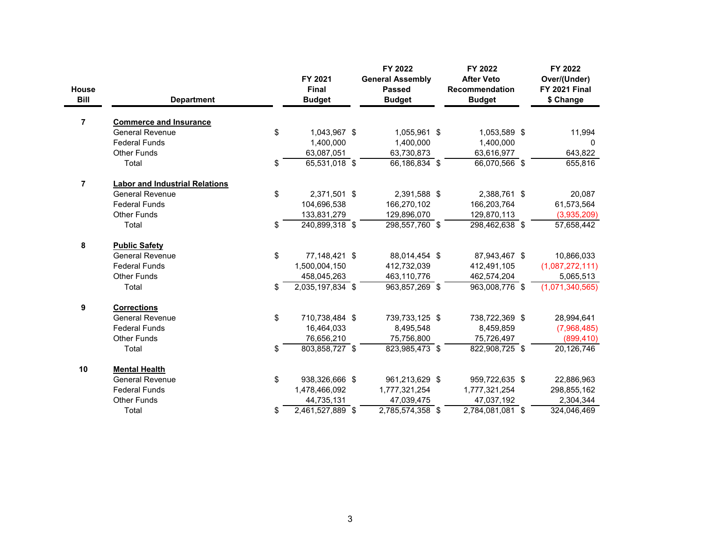| <b>House</b><br><b>Bill</b> | <b>Department</b>                     | FY 2021<br>Final<br><b>Budget</b> | FY 2022<br><b>General Assembly</b><br><b>Passed</b><br><b>Budget</b> | FY 2022<br><b>After Veto</b><br><b>Recommendation</b><br><b>Budget</b> | FY 2022<br>Over/(Under)<br><b>FY 2021 Final</b><br>\$ Change |
|-----------------------------|---------------------------------------|-----------------------------------|----------------------------------------------------------------------|------------------------------------------------------------------------|--------------------------------------------------------------|
| $\overline{7}$              | <b>Commerce and Insurance</b>         |                                   |                                                                      |                                                                        |                                                              |
|                             | <b>General Revenue</b>                | \$<br>1,043,967 \$                | 1,055,961 \$                                                         | 1,053,589 \$                                                           | 11,994                                                       |
|                             | <b>Federal Funds</b>                  | 1,400,000                         | 1,400,000                                                            | 1,400,000                                                              | $\mathbf{0}$                                                 |
|                             | <b>Other Funds</b>                    | 63,087,051                        | 63,730,873                                                           | 63,616,977                                                             | 643,822                                                      |
|                             | Total                                 | \$<br>65,531,018 \$               | 66,186,834 \$                                                        | 66,070,566 \$                                                          | 655,816                                                      |
| $\overline{7}$              | <b>Labor and Industrial Relations</b> |                                   |                                                                      |                                                                        |                                                              |
|                             | <b>General Revenue</b>                | \$<br>2,371,501 \$                | 2,391,588 \$                                                         | 2,388,761 \$                                                           | 20,087                                                       |
|                             | <b>Federal Funds</b>                  | 104,696,538                       | 166,270,102                                                          | 166,203,764                                                            | 61,573,564                                                   |
|                             | <b>Other Funds</b>                    | 133,831,279                       | 129,896,070                                                          | 129,870,113                                                            | (3,935,209)                                                  |
|                             | Total                                 | \$<br>240,899,318 \$              | 298,557,760 \$                                                       | 298,462,638 \$                                                         | 57,658,442                                                   |
| 8                           | <b>Public Safety</b>                  |                                   |                                                                      |                                                                        |                                                              |
|                             | <b>General Revenue</b>                | \$<br>77,148,421 \$               | 88,014,454 \$                                                        | 87,943,467 \$                                                          | 10,866,033                                                   |
|                             | <b>Federal Funds</b>                  | 1,500,004,150                     | 412,732,039                                                          | 412,491,105                                                            | (1,087,272,111)                                              |
|                             | <b>Other Funds</b>                    | 458,045,263                       | 463,110,776                                                          | 462,574,204                                                            | 5,065,513                                                    |
|                             | Total                                 | \$<br>$2,035,197,834$ \$          | 963,857,269 \$                                                       | 963,008,776 \$                                                         | (1,071,340,565)                                              |
| 9                           | <b>Corrections</b>                    |                                   |                                                                      |                                                                        |                                                              |
|                             | <b>General Revenue</b>                | \$<br>710,738,484 \$              | 739,733,125 \$                                                       | 738,722,369 \$                                                         | 28,994,641                                                   |
|                             | <b>Federal Funds</b>                  | 16,464,033                        | 8,495,548                                                            | 8,459,859                                                              | (7,968,485)                                                  |
|                             | <b>Other Funds</b>                    | 76,656,210                        | 75,756,800                                                           | 75,726,497                                                             | (899, 410)                                                   |
|                             | Total                                 | \$<br>803,858,727 \$              | 823,985,473 \$                                                       | 822,908,725 \$                                                         | 20,126,746                                                   |
| 10                          | <b>Mental Health</b>                  |                                   |                                                                      |                                                                        |                                                              |
|                             | <b>General Revenue</b>                | \$<br>938,326,666 \$              | 961,213,629 \$                                                       | 959,722,635 \$                                                         | 22,886,963                                                   |
|                             | <b>Federal Funds</b>                  | 1,478,466,092                     | 1,777,321,254                                                        | 1,777,321,254                                                          | 298,855,162                                                  |
|                             | <b>Other Funds</b>                    | 44,735,131                        | 47,039,475                                                           | 47,037,192                                                             | 2,304,344                                                    |
|                             | Total                                 | \$<br>$2,461,527,889$ \$          | $2,785,574,358$ \$                                                   | $2,784,081,081$ \$                                                     | 324,046,469                                                  |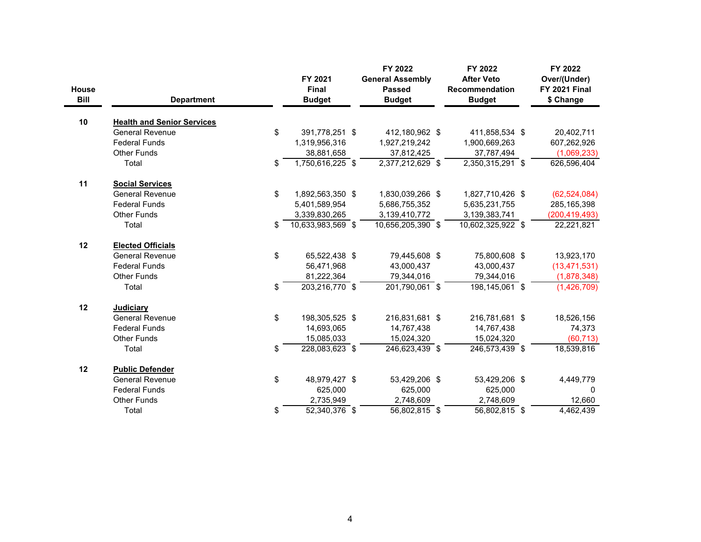| <b>House</b><br><b>Bill</b> | <b>Department</b>                 | FY 2021<br><b>Final</b><br><b>Budget</b> | FY 2022<br><b>General Assembly</b><br><b>Passed</b><br><b>Budget</b> | FY 2022<br><b>After Veto</b><br><b>Recommendation</b><br><b>Budget</b> | FY 2022<br>Over/(Under)<br><b>FY 2021 Final</b><br>\$ Change |
|-----------------------------|-----------------------------------|------------------------------------------|----------------------------------------------------------------------|------------------------------------------------------------------------|--------------------------------------------------------------|
| 10                          | <b>Health and Senior Services</b> |                                          |                                                                      |                                                                        |                                                              |
|                             | <b>General Revenue</b>            | \$<br>391,778,251 \$                     | 412,180,962 \$                                                       | 411,858,534 \$                                                         | 20,402,711                                                   |
|                             | <b>Federal Funds</b>              | 1,319,956,316                            | 1,927,219,242                                                        | 1,900,669,263                                                          | 607,262,926                                                  |
|                             | <b>Other Funds</b>                | 38,881,658                               | 37,812,425                                                           | 37,787,494                                                             | (1,069,233)                                                  |
|                             | Total                             | \$<br>$1,750,616,225$ \$                 | $2,377,212,629$ \$                                                   | $2,350,315,291$ \$                                                     | 626,596,404                                                  |
| 11                          | <b>Social Services</b>            |                                          |                                                                      |                                                                        |                                                              |
|                             | <b>General Revenue</b>            | \$<br>1,892,563,350 \$                   | 1,830,039,266 \$                                                     | 1,827,710,426 \$                                                       | (62, 524, 084)                                               |
|                             | <b>Federal Funds</b>              | 5,401,589,954                            | 5,686,755,352                                                        | 5,635,231,755                                                          | 285,165,398                                                  |
|                             | <b>Other Funds</b>                | 3,339,830,265                            | 3,139,410,772                                                        | 3,139,383,741                                                          | (200, 419, 493)                                              |
|                             | Total                             | \$<br>10,633,983,569 \$                  | 10,656,205,390 \$                                                    | 10,602,325,922 \$                                                      | 22,221,821                                                   |
| 12                          | <b>Elected Officials</b>          |                                          |                                                                      |                                                                        |                                                              |
|                             | <b>General Revenue</b>            | \$<br>65,522,438 \$                      | 79,445,608 \$                                                        | 75,800,608 \$                                                          | 13,923,170                                                   |
|                             | <b>Federal Funds</b>              | 56,471,968                               | 43,000,437                                                           | 43,000,437                                                             | (13, 471, 531)                                               |
|                             | <b>Other Funds</b>                | 81,222,364                               | 79,344,016                                                           | 79,344,016                                                             | (1,878,348)                                                  |
|                             | Total                             | \$<br>$203,216,770$ \$                   | 201,790,061 \$                                                       | $198, 145, 061$ \$                                                     | (1,426,709)                                                  |
| 12                          | <b>Judiciary</b>                  |                                          |                                                                      |                                                                        |                                                              |
|                             | <b>General Revenue</b>            | \$<br>198,305,525 \$                     | 216,831,681 \$                                                       | 216,781,681 \$                                                         | 18,526,156                                                   |
|                             | <b>Federal Funds</b>              | 14,693,065                               | 14,767,438                                                           | 14,767,438                                                             | 74,373                                                       |
|                             | <b>Other Funds</b>                | 15,085,033                               | 15,024,320                                                           | 15,024,320                                                             | (60, 713)                                                    |
|                             | Total                             | \$<br>228,083,623 \$                     | 246,623,439 \$                                                       | 246,573,439 \$                                                         | 18,539,816                                                   |
| 12                          | <b>Public Defender</b>            |                                          |                                                                      |                                                                        |                                                              |
|                             | <b>General Revenue</b>            | \$<br>48,979,427 \$                      | 53,429,206 \$                                                        | 53,429,206 \$                                                          | 4,449,779                                                    |
|                             | <b>Federal Funds</b>              | 625,000                                  | 625,000                                                              | 625,000                                                                | $\Omega$                                                     |
|                             | <b>Other Funds</b>                | 2,735,949                                | 2,748,609                                                            | 2,748,609                                                              | 12,660                                                       |
|                             | Total                             | \$<br>$\overline{52,340,376}$ \$         | $\overline{56,802,815}$ \$                                           | $56,802,815$ \$                                                        | 4,462,439                                                    |